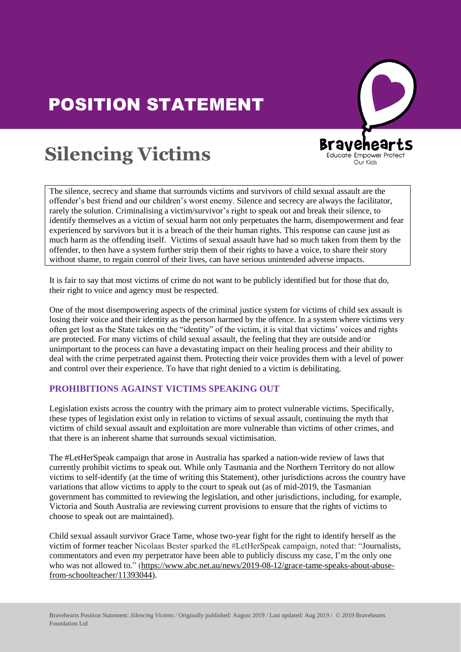# POSITION STATEMENT



## **Silencing Victims SHENCHIS** VICUMS

The silence, secrecy and shame that surrounds victims and survivors of child sexual assault are the offender's best friend and our children's worst enemy. Silence and secrecy are always the facilitator, rarely the solution. Criminalising a victim/survivor's right to speak out and break their silence, to identify themselves as a victim of sexual harm not only perpetuates the harm, disempowerment and fear about the theorem is a vector of sexual harm not only perpetuates the harm, disempowerment and a experienced by survivors but it is a breach of the their human rights. This response can cause just as much harm as the offending itself. Victims of sexual assault have had so much taken from them by the I much harm as the offending itself. Victims of sexual assault have had so much taken from them by offender, to then have a system further strip them of their rights to have a voice, to share their story without shame, to regain control of their lives, can have serious unintended adverse impacts.

It is fair to say that most victims of crime do not want to be publicly identified but for those that do, their right to voice and agency must be respected.

One of the most disempowering aspects of the criminal justice system for victims of child sex assault is losing their voice and their identity as the person harmed by the offence. In a system where victims very often get lost as the State takes on the "identity" of the victim, it is vital that victims' voices and rights are protected. For many victims of child sexual assault, the feeling that they are outside and/or unimportant to the process can have a devastating impact on their healing process and their ability to deal with the crime perpetrated against them. Protecting their voice provides them with a level of power and control over their experience. To have that right denied to a victim is debilitating.

#### **PROHIBITIONS AGAINST VICTIMS SPEAKING OUT**

Legislation exists across the country with the primary aim to protect vulnerable victims. Specifically, these types of legislation exist only in relation to victims of sexual assault, continuing the myth that victims of child sexual assault and exploitation are more vulnerable than victims of other crimes, and that there is an inherent shame that surrounds sexual victimisation.

The #LetHerSpeak campaign that arose in Australia has sparked a nation-wide review of laws that currently prohibit victims to speak out. While only Tasmania and the Northern Territory do not allow currently prohibit victims to speak out. While only Tasmania and the Northern Territory do not allow<br>victims to self-identify (at the time of writing this Statement), other jurisdictions across the country have variations that allow victims to apply to the court to speak out (as of mid-2019, the Tasmanian<br>sovernment has committed to reviewing the legislation and other jurisdictions including for  $\epsilon$ government has committed to reviewing the legislation, and other jurisdictions, including, for example, Victoria and South Australia are reviewing current provisions to ensure that the rights of victims to choose to speak out are maintained).

Child sexual assault survivor Grace Tame, whose two-year fight for the right to identify herself as the victim of former teacher Nicolaas Bester sparked the #LetHerSpeak campaign, noted that: "Journalists, commentators and even my perpetrator have been able to publicly discuss my case, I'm the only one who was not allowed to " (https://www.abc.net au/news/2019-08-12/grace-tame-speaks-about-abusewho was not allowed to." (https://www.abc.net.au/news/2019-08-12/grace-tame-speaks-about-abusefrom-schoolteacher/11393044).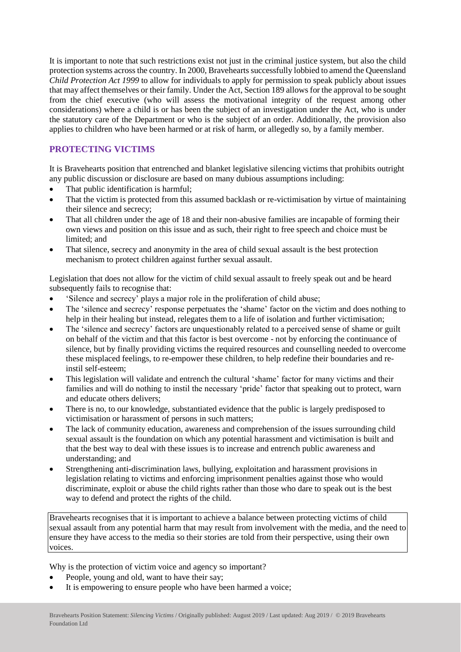It is important to note that such restrictions exist not just in the criminal justice system, but also the child protection systems across the country. In 2000, Bravehearts successfully lobbied to amend the Queensland *Child Protection Act 1999* to allow for individuals to apply for permission to speak publicly about issues that may affect themselves or their family. Under the Act, Section 189 allows for the approval to be sought from the chief executive (who will assess the motivational integrity of the request among other considerations) where a child is or has been the subject of an investigation under the Act, who is under the statutory care of the Department or who is the subject of an order. Additionally, the provision also applies to children who have been harmed or at risk of harm, or allegedly so, by a family member.

### **PROTECTING VICTIMS**

It is Bravehearts position that entrenched and blanket legislative silencing victims that prohibits outright any public discussion or disclosure are based on many dubious assumptions including:

- That public identification is harmful;
- That the victim is protected from this assumed backlash or re-victimisation by virtue of maintaining their silence and secrecy;
- That all children under the age of 18 and their non-abusive families are incapable of forming their own views and position on this issue and as such, their right to free speech and choice must be limited; and
- That silence, secrecy and anonymity in the area of child sexual assault is the best protection mechanism to protect children against further sexual assault.

Legislation that does not allow for the victim of child sexual assault to freely speak out and be heard subsequently fails to recognise that:

- 'Silence and secrecy' plays a major role in the proliferation of child abuse;
- The 'silence and secrecy' response perpetuates the 'shame' factor on the victim and does nothing to help in their healing but instead, relegates them to a life of isolation and further victimisation;
- The 'silence and secrecy' factors are unquestionably related to a perceived sense of shame or guilt on behalf of the victim and that this factor is best overcome - not by enforcing the continuance of silence, but by finally providing victims the required resources and counselling needed to overcome these misplaced feelings, to re-empower these children, to help redefine their boundaries and reinstil self-esteem;
- This legislation will validate and entrench the cultural 'shame' factor for many victims and their families and will do nothing to instil the necessary 'pride' factor that speaking out to protect, warn and educate others delivers;
- There is no, to our knowledge, substantiated evidence that the public is largely predisposed to victimisation or harassment of persons in such matters;
- The lack of community education, awareness and comprehension of the issues surrounding child sexual assault is the foundation on which any potential harassment and victimisation is built and that the best way to deal with these issues is to increase and entrench public awareness and understanding; and
- Strengthening anti-discrimination laws, bullying, exploitation and harassment provisions in legislation relating to victims and enforcing imprisonment penalties against those who would discriminate, exploit or abuse the child rights rather than those who dare to speak out is the best way to defend and protect the rights of the child.

Bravehearts recognises that it is important to achieve a balance between protecting victims of child sexual assault from any potential harm that may result from involvement with the media, and the need to ensure they have access to the media so their stories are told from their perspective, using their own voices.

Why is the protection of victim voice and agency so important?

- People, young and old, want to have their say;
- It is empowering to ensure people who have been harmed a voice;